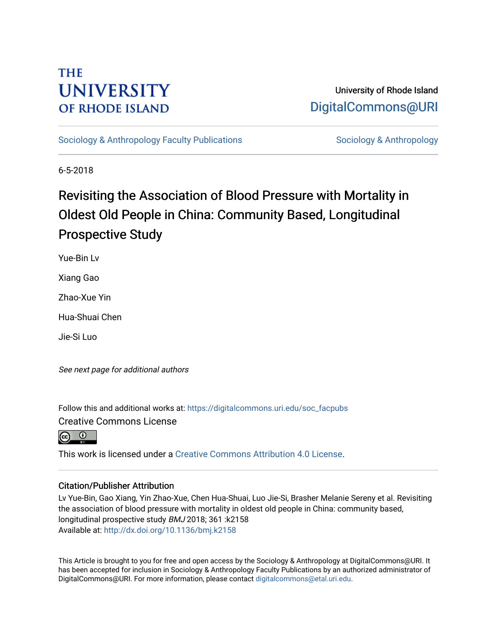## **THE UNIVERSITY OF RHODE ISLAND**

## University of Rhode Island [DigitalCommons@URI](https://digitalcommons.uri.edu/)

[Sociology & Anthropology Faculty Publications](https://digitalcommons.uri.edu/soc_facpubs) [Sociology & Anthropology](https://digitalcommons.uri.edu/soc) & Anthropology

6-5-2018

# Revisiting the Association of Blood Pressure with Mortality in Oldest Old People in China: Community Based, Longitudinal Prospective Study

Yue-Bin Lv

Xiang Gao

Zhao-Xue Yin

Hua-Shuai Chen

Jie-Si Luo

See next page for additional authors

Follow this and additional works at: [https://digitalcommons.uri.edu/soc\\_facpubs](https://digitalcommons.uri.edu/soc_facpubs?utm_source=digitalcommons.uri.edu%2Fsoc_facpubs%2F20&utm_medium=PDF&utm_campaign=PDFCoverPages)  Creative Commons License

This work is licensed under a [Creative Commons Attribution 4.0 License](https://creativecommons.org/licenses/by/4.0/).

## Citation/Publisher Attribution

Lv Yue-Bin, Gao Xiang, Yin Zhao-Xue, Chen Hua-Shuai, Luo Jie-Si, Brasher Melanie Sereny et al. Revisiting the association of blood pressure with mortality in oldest old people in China: community based, longitudinal prospective study BMJ 2018; 361 :k2158 Available at:<http://dx.doi.org/10.1136/bmj.k2158>

This Article is brought to you for free and open access by the Sociology & Anthropology at DigitalCommons@URI. It has been accepted for inclusion in Sociology & Anthropology Faculty Publications by an authorized administrator of DigitalCommons@URI. For more information, please contact [digitalcommons@etal.uri.edu.](mailto:digitalcommons@etal.uri.edu)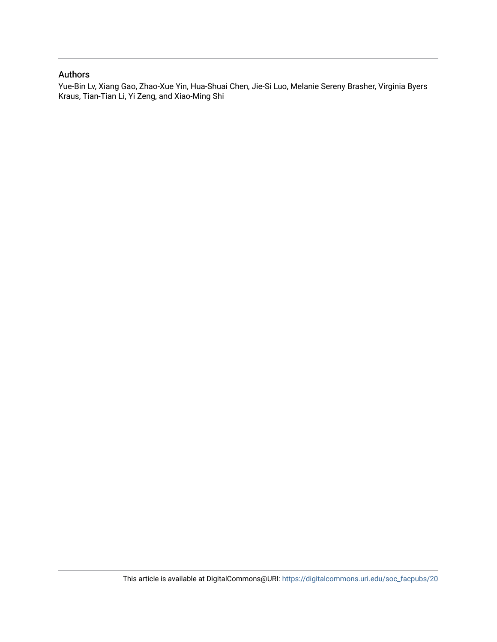## Authors

Yue-Bin Lv, Xiang Gao, Zhao-Xue Yin, Hua-Shuai Chen, Jie-Si Luo, Melanie Sereny Brasher, Virginia Byers Kraus, Tian-Tian Li, Yi Zeng, and Xiao-Ming Shi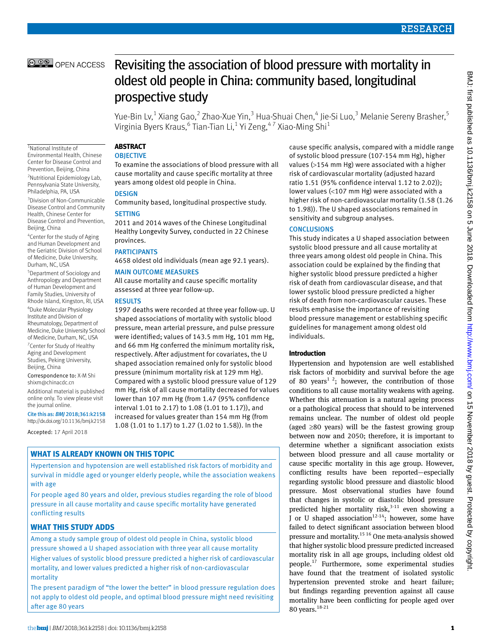## © 0 OPEN ACCESS

## Revisiting the association of blood pressure with mortality in oldest old people in China: community based, longitudinal prospective study

Yue-Bin Lv,<sup>1</sup> Xiang Gao,<sup>2</sup> Zhao-Xue Yin,<sup>3</sup> Hua-Shuai Chen,<sup>4</sup> Jie-Si Luo,<sup>3</sup> Melanie Sereny Brasher,<sup>5</sup> Virginia Byers Kraus,<sup>6</sup> Tian-Tian Li,<sup>1</sup> Yi Zeng,<sup>47</sup> Xiao-Ming Shi<sup>1</sup>

#### 1 National Institute of Environmental Health, Chinese Center for Disease Control and Prevention, Beijing, China

2 Nutritional Epidemiology Lab, Pennsylvania State University, Philadelphia, PA, USA

3 Division of Non-Communicable Disease Control and Community Health, Chinese Center for Disease Control and Prevention, Beijing, China

4 Center for the study of Aging and Human Development and the Geriatric Division of School of Medicine, Duke University, Durham, NC, USA

5 Department of Sociology and Anthropology and Department of Human Development and Family Studies, University of Rhode Island, Kingston, RI, USA

6 Duke Molecular Physiology Institute and Division of Rheumatology, Department of Medicine, Duke University School of Medicine, Durham, NC, USA

<sup>7</sup> Center for Study of Healthy Aging and Development Studies, Peking University, Beijing, China

Correspondence to: X-M Shi [shixm@chinacdc.cn](mailto:shixm@chinacdc.cn)

Additional material is published online only. To view please visit the journal online.

Cite this as: *BMJ* 2018;361:k2158 http://dx.doi.org/10.1136/bmj.k2158

Accepted: 17 April 2018

## **ABSTRACT**

## **OBJECTIVE**

To examine the associations of blood pressure with all cause mortality and cause specific mortality at three years among oldest old people in China.

## **DESIGN**

Community based, longitudinal prospective study. **SETTING** 

2011 and 2014 waves of the Chinese Longitudinal Healthy Longevity Survey, conducted in 22 Chinese provinces.

## PARTICIPANTS

4658 oldest old individuals (mean age 92.1 years).

## MAIN OUTCOME MEASURES

All cause mortality and cause specific mortality assessed at three year follow-up.

## RESULTS

1997 deaths were recorded at three year follow-up. U shaped associations of mortality with systolic blood pressure, mean arterial pressure, and pulse pressure were identified; values of 143.5 mm Hg, 101 mm Hg, and 66 mm Hg conferred the minimum mortality risk, respectively. After adjustment for covariates, the U shaped association remained only for systolic blood pressure (minimum mortality risk at 129 mm Hg). Compared with a systolic blood pressure value of 129 mm Hg, risk of all cause mortality decreased for values lower than 107 mm Hg (from 1.47 (95% confidence interval 1.01 to 2.17) to 1.08 (1.01 to 1.17)), and increased for values greater than 154 mm Hg (from 1.08 (1.01 to 1.17) to 1.27 (1.02 to 1.58)). In the

**What is already known on this topic**

Hypertension and hypotension are well established risk factors of morbidity and survival in middle aged or younger elderly people, while the association weakens with age

For people aged 80 years and older, previous studies regarding the role of blood pressure in all cause mortality and cause specific mortality have generated conflicting results

## **What this study adds**

Among a study sample group of oldest old people in China, systolic blood pressure showed a U shaped association with three year all cause mortality Higher values of systolic blood pressure predicted a higher risk of cardiovascular mortality, and lower values predicted a higher risk of non-cardiovascular mortality

The present paradigm of "the lower the better" in blood pressure regulation does not apply to oldest old people, and optimal blood pressure might need revisiting after age 80 years

cause specific analysis, compared with a middle range of systolic blood pressure (107-154 mm Hg), higher values (>154 mm Hg) were associated with a higher risk of cardiovascular mortality (adjusted hazard ratio 1.51 (95% confidence interval 1.12 to 2.02)); lower values (<107 mm Hg) were associated with a higher risk of non-cardiovascular mortality (1.58 (1.26 to 1.98)). The U shaped associations remained in sensitivity and subgroup analyses.

## **CONCLUSIONS**

This study indicates a U shaped association between systolic blood pressure and all cause mortality at three years among oldest old people in China. This association could be explained by the finding that higher systolic blood pressure predicted a higher risk of death from cardiovascular disease, and that lower systolic blood pressure predicted a higher risk of death from non-cardiovascular causes. These results emphasise the importance of revisiting blood pressure management or establishing specific guidelines for management among oldest old individuals.

## **Introduction**

Hypertension and hypotension are well established risk factors of morbidity and survival before the age of 80 years<sup>1 2</sup>; however, the contribution of those conditions to all cause mortality weakens with ageing. Whether this attenuation is a natural ageing process or a pathological process that should to be intervened remains unclear. The number of oldest old people (aged ≥80 years) will be the fastest growing group between now and 2050; therefore, it is important to determine whether a significant association exists between blood pressure and all cause mortality or cause specific mortality in this age group. However, conflicting results have been reported—especially regarding systolic blood pressure and diastolic blood pressure. Most observational studies have found that changes in systolic or diastolic blood pressure predicted higher mortality risk, $3-11$  even showing a J or U shaped association<sup>12-14</sup>; however, some have failed to detect significant association between blood pressure and mortality.15 16 One meta-analysis showed that higher systolic blood pressure predicted increased mortality risk in all age groups, including oldest old people.17 Furthermore, some experimental studies have found that the treatment of isolated systolic hypertension prevented stroke and heart failure; but findings regarding prevention against all cause mortality have been conflicting for people aged over 80 years.<sup>18-21</sup>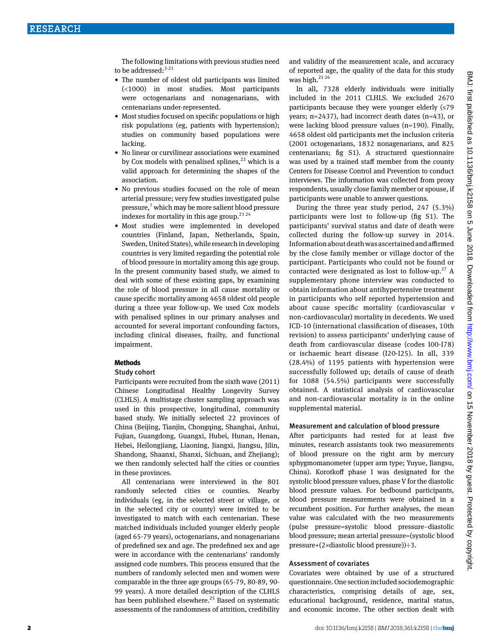The following limitations with previous studies need to be addressed:<sup>3-21</sup>

- The number of oldest old participants was limited (<1000) in most studies. Most participants were octogenarians and nonagenarians, with centenarians under-represented.
- Most studies focused on specific populations or high risk populations (eg, patients with hypertension); studies on community based populations were lacking.
- No linear or curvilinear associations were examined by Cox models with penalised splines, $^{22}$  which is a valid approach for determining the shapes of the association.
- No previous studies focused on the role of mean arterial pressure; very few studies investigated pulse pressure, $^7$  which may be more salient blood pressure indexes for mortality in this age group.<sup>23 24</sup>
- Most studies were implemented in developed countries (Finland, Japan, Netherlands, Spain, Sweden,United States), while research in developing countries is very limited regarding the potential role of blood pressure in mortality among this age group.

In the present community based study, we aimed to deal with some of these existing gaps, by examining the role of blood pressure in all cause mortality or cause specific mortality among 4658 oldest old people during a three year follow-up. We used Cox models with penalised splines in our primary analyses and accounted for several important confounding factors, including clinical diseases, frailty, and functional impairment.

## **Methods**

#### Study cohort

Participants were recruited from the sixth wave (2011) Chinese Longitudinal Healthy Longevity Survey (CLHLS). A multistage cluster sampling approach was used in this prospective, longitudinal, community based study. We initially selected 22 provinces of China (Beijing, Tianjin, Chongqing, Shanghai, Anhui, Fujian, Guangdong, Guangxi, Hubei, Hunan, Henan, Hebei, Heilongjiang, Liaoning, Jiangxi, Jiangsu, Jilin, Shandong, Shaanxi, Shanxi, Sichuan, and Zhejiang); we then randomly selected half the cities or counties in these provinces.

All centenarians were interviewed in the 801 randomly selected cities or counties. Nearby individuals (eg, in the selected street or village, or in the selected city or county) were invited to be investigated to match with each centenarian. These matched individuals included younger elderly people (aged 65-79 years), octogenarians, and nonagenarians of predefined sex and age. The predefined sex and age were in accordance with the centenarians' randomly assigned code numbers. This process ensured that the numbers of randomly selected men and women were comparable in the three age groups (65-79, 80-89, 90- 99 years). A more detailed description of the CLHLS has been published elsewhere.<sup>25</sup> Based on systematic assessments of the randomness of attrition, credibility

and validity of the measurement scale, and accuracy of reported age, the quality of the data for this study was high.<sup>25 26</sup>

In all, 7328 elderly individuals were initially included in the 2011 CLHLS. We excluded 2670 participants because they were younger elderly (≤79 years; n=2437), had incorrect death dates (n=43), or were lacking blood pressure values (n=190). Finally, 4658 oldest old participants met the inclusion criteria (2001 octogenarians, 1832 nonagenarians, and 825 centenarians; fig S1). A structured questionnaire was used by a trained staff member from the county Centers for Disease Control and Prevention to conduct interviews. The information was collected from proxy respondents, usually close family member or spouse, if participants were unable to answer questions.

During the three year study period, 247 (5.3%) participants were lost to follow-up (fig S1). The participants' survival status and date of death were collected during the follow-up survey in 2014. Information about death was ascertained and affirmed by the close family member or village doctor of the participant. Participants who could not be found or contacted were designated as lost to follow-up.<sup>27</sup> A supplementary phone interview was conducted to obtain information about antihypertensive treatment in participants who self reported hypertension and about cause specific mortality (cardiovascular <sup>v</sup> non-cardiovascular) mortality in decedents. We used ICD-10 (international classification of diseases, 10th revision) to assess participants' underlying cause of death from cardiovascular disease (codes I00-I78) or ischaemic heart disease (I20-I25). In all, 339 (28.4%) of 1195 patients with hypertension were successfully followed up; details of cause of death for 1088 (54.5%) participants were successfully obtained. A statistical analysis of cardiovascular and non-cardiovascular mortality is in the online supplemental material.

### Measurement and calculation of blood pressure

After participants had rested for at least five minutes, research assistants took two measurements of blood pressure on the right arm by mercury sphygmomanometer (upper arm type; Yuyue, Jiangsu, China). Korotkoff phase I was designated for the systolic blood pressure values, phase V for the diastolic blood pressure values. For bedbound participants, blood pressure measurements were obtained in a recumbent position. For further analyses, the mean value was calculated with the two measurements (pulse pressure=systolic blood pressure−diastolic blood pressure; mean arterial pressure=(systolic blood pressure+(2×diastolic blood pressure))÷3.

## Assessment of covariates

Covariates were obtained by use of a structured questionnaire. One section included sociodemographic characteristics, comprising details of age, sex, educational background, residence, marital status, and economic income. The other section dealt with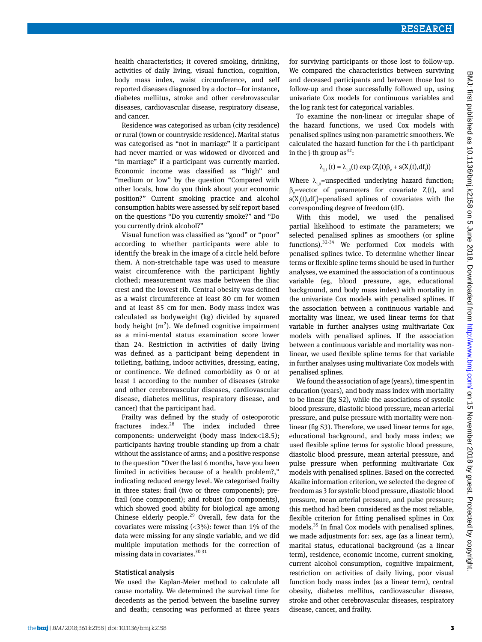health characteristics; it covered smoking, drinking, activities of daily living, visual function, cognition, body mass index, waist circumference, and self reported diseases diagnosed by a doctor—for instance, diabetes mellitus, stroke and other cerebrovascular diseases, cardiovascular disease, respiratory disease, and cancer.

Residence was categorised as urban (city residence) or rural (town or countryside residence). Marital status was categorised as "not in marriage" if a participant had never married or was widowed or divorced and "in marriage" if a participant was currently married. Economic income was classified as "high" and "medium or low" by the question "Compared with other locals, how do you think about your economic position?" Current smoking practice and alcohol consumption habits were assessed by self report based on the questions "Do you currently smoke?" and "Do you currently drink alcohol?"

Visual function was classified as "good" or "poor" according to whether participants were able to identify the break in the image of a circle held before them. A non-stretchable tape was used to measure waist circumference with the participant lightly clothed; measurement was made between the iliac crest and the lowest rib. Central obesity was defined as a waist circumference at least 80 cm for women and at least 85 cm for men. Body mass index was calculated as bodyweight (kg) divided by squared body height  $(m<sup>2</sup>)$ . We defined cognitive impairment as a mini-mental status examination score lower than 24. Restriction in activities of daily living was defined as a participant being dependent in toileting, bathing, indoor activities, dressing, eating, or continence. We defined comorbidity as 0 or at least 1 according to the number of diseases (stroke and other cerebrovascular diseases, cardiovascular disease, diabetes mellitus, respiratory disease, and cancer) that the participant had.

Frailty was defined by the study of osteoporotic fractures index.<sup>28</sup> The index included three components: underweight (body mass index<18.5); participants having trouble standing up from a chair without the assistance of arms; and a positive response to the question "Over the last 6 months, have you been limited in activities because of a health problem?," indicating reduced energy level. We categorised frailty in three states: frail (two or three components); prefrail (one component); and robust (no components), which showed good ability for biological age among Chinese elderly people.<sup>29</sup> Overall, few data for the covariates were missing  $\left( <\frac{3}{6} \right)$ : fewer than 1% of the data were missing for any single variable, and we did multiple imputation methods for the correction of missing data in covariates. $3031$ 

#### Statistical analysis

We used the Kaplan-Meier method to calculate all cause mortality. We determined the survival time for decedents as the period between the baseline survey and death; censoring was performed at three years

for surviving participants or those lost to follow-up. We compared the characteristics between surviving and deceased participants and between those lost to follow-up and those successfully followed up, using univariate Cox models for continuous variables and the log rank test for categorical variables.

To examine the non-linear or irregular shape of the hazard functions, we used Cox models with penalised splines using non-parametric smoothers. We calculated the hazard function for the i-th participant in the j-th group  $as^{32}$ :

$$
\lambda_{j,i}(t) = \lambda_{j,0}(t) \exp(Z_i(t)\beta_z + s(X_i(t), df_i))
$$

Where  $\lambda_{i0}$ =unspecified underlying hazard function;  $\beta$ <sub>z</sub>=vector of parameters for covariate Z<sub>i</sub>(t), and  $s(X_i(t), df_i)$ =penalised splines of covariates with the corresponding degree of freedom (df).

With this model, we used the penalised partial likelihood to estimate the parameters; we selected penalised splines as smoothers (or spline functions).32-34 We performed Cox models with penalised splines twice. To determine whether linear terms or flexible spline terms should be used in further analyses, we examined the association of a continuous variable (eg, blood pressure, age, educational background, and body mass index) with mortality in the univariate Cox models with penalised splines. If the association between a continuous variable and mortality was linear, we used linear terms for that variable in further analyses using multivariate Cox models with penalised splines. If the association between a continuous variable and mortality was nonlinear, we used flexible spline terms for that variable in further analyses using multivariate Cox models with penalised splines.

We found the association of age (years), time spent in education (years), and body mass index with mortality to be linear (fig S2), while the associations of systolic blood pressure, diastolic blood pressure, mean arterial pressure, and pulse pressure with mortality were nonlinear (fig S3). Therefore, we used linear terms for age, educational background, and body mass index; we used flexible spline terms for systolic blood pressure, diastolic blood pressure, mean arterial pressure, and pulse pressure when performing multivariate Cox models with penalised splines. Based on the corrected Akaike information criterion, we selected the degree of freedom as 3 for systolic blood pressure, diastolic blood pressure, mean arterial pressure, and pulse pressure; this method had been considered as the most reliable, flexible criterion for fitting penalised splines in Cox models.<sup>35</sup> In final Cox models with penalised splines, we made adjustments for: sex, age (as a linear term), marital status, educational background (as a linear term), residence, economic income, current smoking, current alcohol consumption, cognitive impairment, restriction on activities of daily living, poor visual function body mass index (as a linear term), central obesity, diabetes mellitus, cardiovascular disease, stroke and other cerebrovascular diseases, respiratory disease, cancer, and frailty.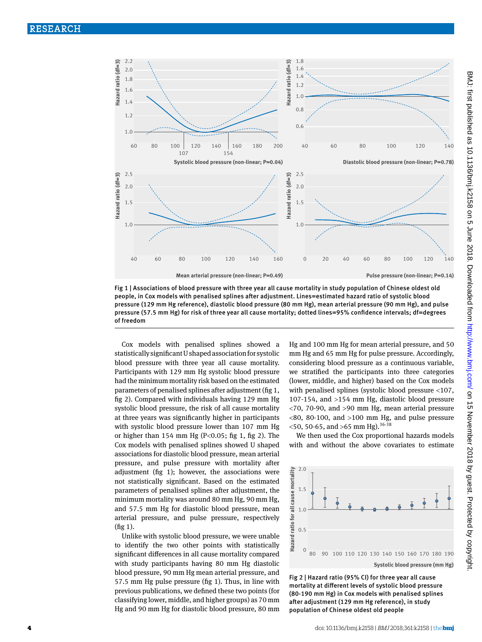

Fig 1 | Associations of blood pressure with three year all cause mortality in study population of Chinese oldest old people, in Cox models with penalised splines after adjustment. Lines=estimated hazard ratio of systolic blood pressure (129 mm Hg reference), diastolic blood pressure (80 mm Hg), mean arterial pressure (90 mm Hg), and pulse pressure (57.5 mm Hg) for risk of three year all cause mortality; dotted lines=95% confidence intervals; df=degrees of freedom

Cox models with penalised splines showed a statistically significant U shaped association for systolic blood pressure with three year all cause mortality. Participants with 129 mm Hg systolic blood pressure had the minimum mortality risk based on the estimated parameters of penalised splines after adjustment (fig 1, fig 2). Compared with individuals having 129 mm Hg systolic blood pressure, the risk of all cause mortality at three years was significantly higher in participants with systolic blood pressure lower than 107 mm Hg or higher than 154 mm Hg ( $P<0.05$ ; fig 1, fig 2). The Cox models with penalised splines showed U shaped associations for diastolic blood pressure, mean arterial pressure, and pulse pressure with mortality after adjustment (fig 1); however, the associations were not statistically significant. Based on the estimated parameters of penalised splines after adjustment, the minimum mortality was around 80 mm Hg, 90 mm Hg, and 57.5 mm Hg for diastolic blood pressure, mean arterial pressure, and pulse pressure, respectively (fig 1).

Unlike with systolic blood pressure, we were unable to identify the two other points with statistically significant differences in all cause mortality compared with study participants having 80 mm Hg diastolic blood pressure, 90 mm Hg mean arterial pressure, and 57.5 mm Hg pulse pressure (fig 1). Thus, in line with previous publications, we defined these two points (for classifying lower, middle, and higher groups) as 70 mm Hg and 90 mm Hg for diastolic blood pressure, 80 mm

Hg and 100 mm Hg for mean arterial pressure, and 50 mm Hg and 65 mm Hg for pulse pressure. Accordingly, considering blood pressure as a continuous variable, we stratified the participants into three categories (lower, middle, and higher) based on the Cox models with penalised splines (systolic blood pressure <107, 107-154, and >154 mm Hg, diastolic blood pressure <70, 70-90, and >90 mm Hg, mean arterial pressure  $\langle 80, 80 - 100,$  and  $> 100$  mm Hg, and pulse pressure  $<$ 50, 50-65, and >65 mm Hg).<sup>36-38</sup>

We then used the Cox proportional hazards models with and without the above covariates to estimate



Fig 2 | Hazard ratio (95% CI) for three year all cause mortality at different levels of systolic blood pressure (80-190 mm Hg) in Cox models with penalised splines after adjustment (129 mm Hg reference), in study population of Chinese oldest old people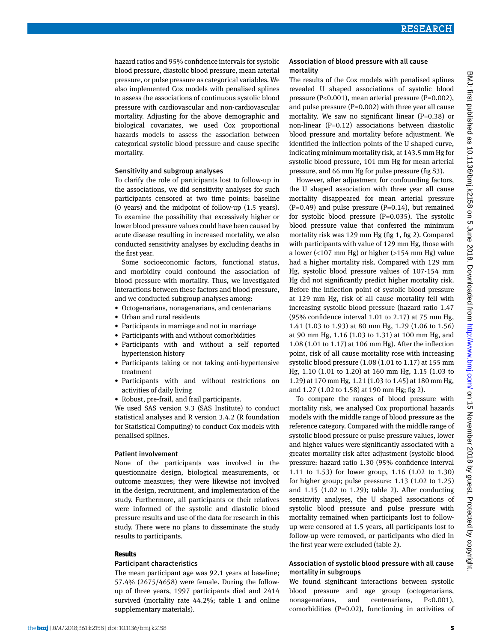hazard ratios and 95% confidence intervals for systolic blood pressure, diastolic blood pressure, mean arterial pressure, or pulse pressure as categorical variables. We also implemented Cox models with penalised splines to assess the associations of continuous systolic blood pressure with cardiovascular and non-cardiovascular mortality. Adjusting for the above demographic and biological covariates, we used Cox proportional hazards models to assess the association between categorical systolic blood pressure and cause specific mortality.

### Sensitivity and subgroup analyses

To clarify the role of participants lost to follow-up in the associations, we did sensitivity analyses for such participants censored at two time points: baseline (0 years) and the midpoint of follow-up (1.5 years). To examine the possibility that excessively higher or lower blood pressure values could have been caused by acute disease resulting in increased mortality, we also conducted sensitivity analyses by excluding deaths in the first year.

Some socioeconomic factors, functional status, and morbidity could confound the association of blood pressure with mortality. Thus, we investigated interactions between these factors and blood pressure, and we conducted subgroup analyses among:

- Octogenarians, nonagenarians, and centenarians
- Urban and rural residents
- Participants in marriage and not in marriage
- Participants with and without comorbidities
- Participants with and without a self reported hypertension history
- Participants taking or not taking anti-hypertensive treatment
- Participants with and without restrictions on activities of daily living
- Robust, pre-frail, and frail participants.

We used SAS version 9.3 (SAS Institute) to conduct statistical analyses and R version 3.4.2 (R foundation for Statistical Computing) to conduct Cox models with penalised splines.

### Patient involvement

None of the participants was involved in the questionnaire design, biological measurements, or outcome measures; they were likewise not involved in the design, recruitment, and implementation of the study. Furthermore, all participants or their relatives were informed of the systolic and diastolic blood pressure results and use of the data for research in this study. There were no plans to disseminate the study results to participants.

## **Results**

#### Participant characteristics

The mean participant age was 92.1 years at baseline; 57.4% (2675/4658) were female. During the followup of three years, 1997 participants died and 2414 survived (mortality rate 44.2%; table 1 and online supplementary materials).

## Association of blood pressure with all cause mortality

The results of the Cox models with penalised splines revealed U shaped associations of systolic blood pressure (P<0.001), mean arterial pressure (P=0.002), and pulse pressure  $(P=0.002)$  with three year all cause mortality. We saw no significant linear (P=0.38) or non-linear (P=0.12) associations between diastolic blood pressure and mortality before adjustment. We identified the inflection points of the U shaped curve, indicating minimum mortality risk, at 143.5 mm Hg for systolic blood pressure, 101 mm Hg for mean arterial pressure, and 66 mm Hg for pulse pressure (fig S3).

However, after adjustment for confounding factors, the U shaped association with three year all cause mortality disappeared for mean arterial pressure  $(P=0.49)$  and pulse pressure  $(P=0.14)$ , but remained for systolic blood pressure  $(P=0.035)$ . The systolic blood pressure value that conferred the minimum mortality risk was 129 mm Hg (fig 1, fig 2). Compared with participants with value of 129 mm Hg, those with a lower (<107 mm Hg) or higher (>154 mm Hg) value had a higher mortality risk. Compared with 129 mm Hg, systolic blood pressure values of 107-154 mm Hg did not significantly predict higher mortality risk. Before the inflection point of systolic blood pressure at 129 mm Hg, risk of all cause mortality fell with increasing systolic blood pressure (hazard ratio 1.47 (95% confidence interval 1.01 to 2.17) at 75 mm Hg, 1.41 (1.03 to 1.93) at 80 mm Hg, 1.29 (1.06 to 1.56) at 90 mm Hg, 1.16 (1.03 to 1.31) at 100 mm Hg, and 1.08 (1.01 to 1.17) at 106 mm Hg). After the inflection point, risk of all cause mortality rose with increasing systolic blood pressure (1.08 (1.01 to 1.17) at 155 mm Hg, 1.10 (1.01 to 1.20) at 160 mm Hg, 1.15 (1.03 to 1.29) at 170 mm Hg, 1.21 (1.03 to 1.45) at 180 mm Hg, and 1.27 (1.02 to 1.58) at 190 mm Hg; fig 2).

To compare the ranges of blood pressure with mortality risk, we analysed Cox proportional hazards models with the middle range of blood pressure as the reference category. Compared with the middle range of systolic blood pressure or pulse pressure values, lower and higher values were significantly associated with a greater mortality risk after adjustment (systolic blood pressure: hazard ratio 1.30 (95% confidence interval 1.11 to 1.53) for lower group, 1.16 (1.02 to 1.30) for higher group; pulse pressure: 1.13 (1.02 to 1.25) and 1.15 (1.02 to 1.29); table 2). After conducting sensitivity analyses, the U shaped associations of systolic blood pressure and pulse pressure with mortality remained when participants lost to followup were censored at 1.5 years, all participants lost to follow-up were removed, or participants who died in the first year were excluded (table 2).

## Association of systolic blood pressure with all cause mortality in subgroups

We found significant interactions between systolic blood pressure and age group (octogenarians, nonagenarians, and centenarians, P<0.001), comorbidities (P=0.02), functioning in activities of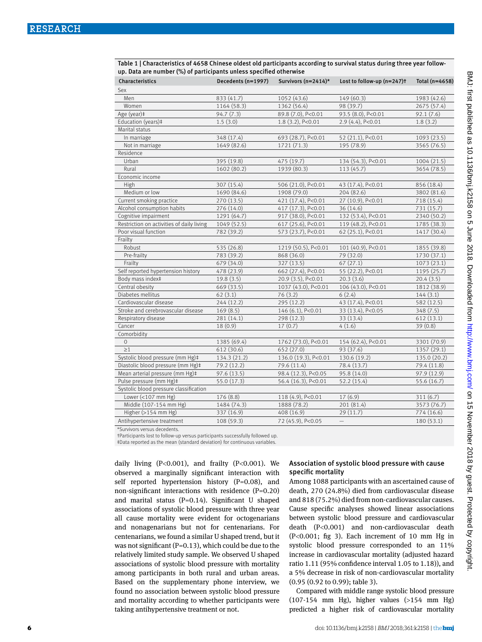Table 1 | Characteristics of 4658 Chinese oldest old participants according to survival status during three year followup. Data are number (%) of participants unless specified otherwise

| Characteristics                           | Decedents (n=1997) | Survivors $(n=2414)^*$ | Lost to follow-up $(n=247)$ <sup>+</sup> | Total ( $n=4658$ ) |
|-------------------------------------------|--------------------|------------------------|------------------------------------------|--------------------|
| Sex                                       |                    |                        |                                          |                    |
| Men                                       | 833 (41.7)         | 1052 (43.6)            | 149 (60.3)                               | 1983 (42.6)        |
| Women                                     | 1164 (58.3)        | 1362 (56.4)            | 98 (39.7)                                | 2675 (57.4)        |
| Age (year)#                               | 94.7(7.3)          | 89.8 (7.0), P<0.01     | 93.5 (8.0), P<0.01                       | 92.1(7.6)          |
| Education (years)‡                        | 1.5(3.0)           | $1.8(3.2)$ , P<0.01    | 2.9 (4.4), P<0.01                        | 1.8(3.2)           |
| Marital status                            |                    |                        |                                          |                    |
| In marriage                               | 348 (17.4)         | 693 (28.7), P<0.01     | 52 (21.1), P<0.01                        | 1093 (23.5)        |
| Not in marriage                           | 1649 (82.6)        | 1721 (71.3)            | 195 (78.9)                               | 3565 (76.5)        |
| Residence                                 |                    |                        |                                          |                    |
| Urban                                     | 395 (19.8)         | 475 (19.7)             | 134 (54.3), P<0.01                       | 1004 (21.5)        |
| Rural                                     | 1602 (80.2)        | 1939 (80.3)            | 113(45.7)                                | 3654 (78.5)        |
| Economic income                           |                    |                        |                                          |                    |
| High                                      | 307 (15.4)         | 506 (21.0), P<0.01     | 43 (17.4), P<0.01                        | 856 (18.4)         |
| Medium or low                             | 1690 (84.6)        | 1908 (79.0)            | 204 (82.6)                               | 3802 (81.6)        |
| Current smoking practice                  | 270 (13.5)         | 421 (17.4), P<0.01     | 27 (10.9), P<0.01                        | 718 (15.4)         |
| Alcohol consumption habits                | 276 (14.0)         | 417 (17.3), P<0.01     | 36 (14.6)                                | 731 (15.7)         |
| Cognitive impairment                      | 1291 (64.7)        | 917 (38.0), P<0.01     | 132 (53.4), P<0.01                       | 2340 (50.2)        |
| Restriction on activities of daily living | 1049 (52.5)        | 617 (25.6), P<0.01     | 119 (48.2), P<0.01                       | 1785 (38.3)        |
| Poor visual function                      | 782 (39.2)         | 573 (23.7), P<0.01     | 62 (25.1), P<0.01                        | 1417 (30.4)        |
| Frailty                                   |                    |                        |                                          |                    |
| Robust                                    | 535 (26.8)         | 1219 (50.5), P<0.01    | 101 (40.9), P<0.01                       | 1855 (39.8)        |
| Pre-frailty                               | 783 (39.2)         | 868 (36.0)             | 79 (32.0)                                | 1730 (37.1)        |
| Frailty                                   | 679 (34.0)         | 327 (13.5)             | 67(27.1)                                 | 1073 (23.1)        |
| Self reported hypertension history        | 478 (23.9)         | 662 (27.4), P<0.01     | 55 (22.2), P<0.01                        | 1195 (25.7)        |
| Body mass index‡                          | 19.8(3.5)          | 20.9 (3.5), P<0.01     | 20.3(3.6)                                | 20.4(3.5)          |
| Central obesity                           | 669 (33.5)         | 1037 (43.0), P<0.01    | 106 (43.0), P<0.01                       | 1812 (38.9)        |
| Diabetes mellitus                         | 62(3.1)            | 76(3.2)                | 6(2.4)                                   | 144(3.1)           |
| Cardiovascular disease                    | 244(12.2)          | 295(12.2)              | 43 (17.4), P<0.01                        | 582 (12.5)         |
| Stroke and cerebrovascular disease        | 169(8.5)           | 146 (6.1), P<0.01      | 33 (13.4), P<0.05                        | 348(7.5)           |
| Respiratory disease                       | 281 (14.1)         | 298 (12.3)             | 33(13.4)                                 | 612(13.1)          |
| Cancer                                    | 18(0.9)            | 17(0.7)                | 4(1.6)                                   | 39(0.8)            |
| Comorbidity                               |                    |                        |                                          |                    |
| $\circ$                                   | 1385 (69.4)        | 1762 (73.0), P<0.01    | 154 (62.4), P<0.01                       | 3301 (70.9)        |
| $\geq$ 1                                  | 612 (30.6)         | 652 (27.0)             | 93 (37.6)                                | 1357 (29.1)        |
| Systolic blood pressure (mm Hg)#          | 134.3 (21.2)       | 136.0 (19.3), P<0.01   | 130.6 (19.2)                             | 135.0 (20.2)       |
| Diastolic blood pressure (mm Hg)‡         | 79.2 (12.2)        | 79.6 (11.4)            | 78.4 (13.7)                              | 79.4 (11.8)        |
| Mean arterial pressure (mm Hg)‡           | 97.6 (13.5)        | 98.4 (12.3), P<0.05    | 95.8 (14.0)                              | 97.9 (12.9)        |
| Pulse pressure (mm Hg)‡                   | 55.0 (17.3)        | 56.4 (16.3), P<0.01    | 52.2 (15.4)                              | 55.6 (16.7)        |
| Systolic blood pressure classification    |                    |                        |                                          |                    |
| Lower (<107 mm Hg)                        | 176 (8.8)          | 118 (4.9), P<0.01      | 17(6.9)                                  | 311 (6.7)          |
| Middle (107-154 mm Hg)                    | 1484 (74.3)        | 1888 (78.2)            | 201 (81.4)                               | 3573 (76.7)        |
| Higher (>154 mm Hg)                       | 337 (16.9)         | 408 (16.9)             | 29(11.7)                                 | 774 (16.6)         |
| Antihypertensive treatment                | 108 (59.3)         | 72 (45.9), P<0.05      | $\overline{\phantom{0}}$                 | 180 (53.1)         |

\*Survivors versus decedents.

†Participants lost to follow-up versus participants successfully followed up.

‡Data reported as the mean (standard deviation) for continuous variables.

daily living  $(P<0.001)$ , and frailty  $(P<0.001)$ . We observed a marginally significant interaction with self reported hypertension history (P=0.08), and non-significant interactions with residence (P=0.20) and marital status (P=0.14). Significant U shaped associations of systolic blood pressure with three year all cause mortality were evident for octogenarians and nonagenarians but not for centenarians. For centenarians, we found a similar U shaped trend, but it was not significant ( $P=0.13$ ), which could be due to the relatively limited study sample. We observed U shaped associations of systolic blood pressure with mortality among participants in both rural and urban areas. Based on the supplementary phone interview, we found no association between systolic blood pressure and mortality according to whether participants were taking antihypertensive treatment or not.

## Association of systolic blood pressure with cause specific mortality

Among 1088 participants with an ascertained cause of death, 270 (24.8%) died from cardiovascular disease and 818 (75.2%) died from non-cardiovascular causes. Cause specific analyses showed linear associations between systolic blood pressure and cardiovascular death (P<0.001) and non-cardiovascular death (P<0.001; fig 3). Each increment of 10 mm Hg in systolic blood pressure corresponded to an 11% increase in cardiovascular mortality (adjusted hazard ratio 1.11 (95% confidence interval 1.05 to 1.18)), and a 5% decrease in risk of non-cardiovascular mortality (0.95 (0.92 to 0.99); table 3).

Compared with middle range systolic blood pressure (107-154 mm Hg), higher values (>154 mm Hg) predicted a higher risk of cardiovascular mortality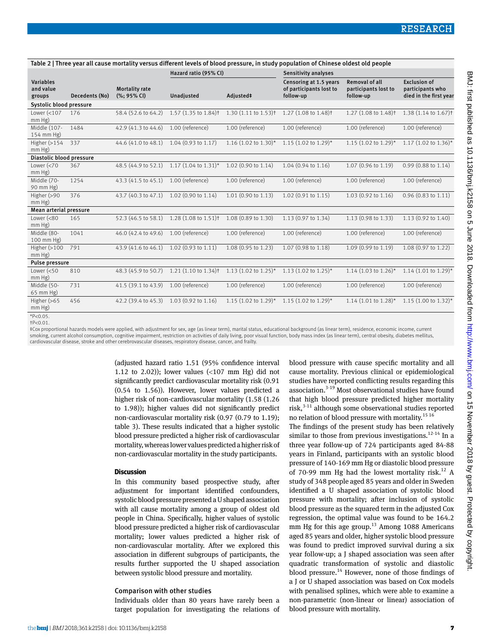| Table 2   Three year all cause mortality versus different levels of blood pressure, in study population of Chinese oldest old people |                |                                                                 |                                            |                                  |                                                                   |                                                            |                                                                   |  |
|--------------------------------------------------------------------------------------------------------------------------------------|----------------|-----------------------------------------------------------------|--------------------------------------------|----------------------------------|-------------------------------------------------------------------|------------------------------------------------------------|-------------------------------------------------------------------|--|
|                                                                                                                                      |                |                                                                 | Hazard ratio (95% CI)                      |                                  | Sensitivity analyses                                              |                                                            |                                                                   |  |
| <b>Variables</b><br>and value<br>groups                                                                                              | Decedents (No) | <b>Mortality rate</b><br>$(% \mathcal{O}_{0}; 95\% \text{ CI})$ | Unadjusted                                 | Adjusted#                        | Censoring at 1.5 years<br>of participants lost to<br>follow-up    | <b>Removal of all</b><br>participants lost to<br>follow-up | <b>Exclusion of</b><br>participants who<br>died in the first year |  |
| Systolic blood pressure                                                                                                              |                |                                                                 |                                            |                                  |                                                                   |                                                            |                                                                   |  |
| Lower $(<107$<br>mm Hg)                                                                                                              | 176            | 58.4 (52.6 to 64.2)                                             | $1.57$ (1.35 to 1.84) <sup>†</sup>         |                                  | 1.30 (1.11 to 1.53) <sup>†</sup> 1.27 (1.08 to 1.48) <sup>†</sup> | 1.27 (1.08 to 1.48) <sup>†</sup>                           | $1.38(1.14 \text{ to } 1.67)$ <sup>†</sup>                        |  |
| Middle (107-<br>154 mm Hg)                                                                                                           | 1484           | 42.9 (41.3 to 44.6)                                             | 1.00 (reference)                           | 1.00 (reference)                 | 1.00 (reference)                                                  | 1.00 (reference)                                           | 1.00 (reference)                                                  |  |
| Higher $(>154)$<br>mm Hg)                                                                                                            | 337            | 44.6 (41.0 to 48.1)                                             | 1.04 (0.93 to 1.17)                        | 1.16 $(1.02 \text{ to } 1.30)^*$ | 1.15 $(1.02 \text{ to } 1.29)^*$                                  | 1.15 (1.02 to 1.29)*                                       | 1.17 (1.02 to 1.36)*                                              |  |
| Diastolic blood pressure                                                                                                             |                |                                                                 |                                            |                                  |                                                                   |                                                            |                                                                   |  |
| Lower $(< 70$<br>mm Hg)                                                                                                              | 367            | 48.5 (44.9 to 52.1)                                             | $1.17$ (1.04 to 1.31)*                     | 1.02 (0.90 to 1.14)              | $1.04(0.94 \text{ to } 1.16)$                                     | 1.07 (0.96 to 1.19)                                        | $0.99(0.88 \text{ to } 1.14)$                                     |  |
| Middle (70-<br>$90 \text{ mm Hg}$                                                                                                    | 1254           | 43.3 (41.5 to 45.1)                                             | 1.00 (reference)                           | 1.00 (reference)                 | 1.00 (reference)                                                  | 1.00 (reference)                                           | 1.00 (reference)                                                  |  |
| Higher (>90<br>mm Hg)                                                                                                                | 376            | 43.7 (40.3 to 47.1)                                             | 1.02 (0.90 to 1.14)                        | 1.01 (0.90 to 1.13)              | $1.02(0.91 \text{ to } 1.15)$                                     | 1.03 (0.92 to 1.16)                                        | $0.96(0.83 \text{ to } 1.11)$                                     |  |
| Mean arterial pressure                                                                                                               |                |                                                                 |                                            |                                  |                                                                   |                                                            |                                                                   |  |
| Lower $(< 80$<br>mm Hg)                                                                                                              | 165            | 52.3 (46.5 to 58.1)                                             | $1.28(1.08 \text{ to } 1.51)$ <sup>†</sup> | 1.08 (0.89 to 1.30)              | 1.13 (0.97 to 1.34)                                               | 1.13 (0.98 to 1.33)                                        | 1.13 (0.92 to 1.40)                                               |  |
| Middle (80-<br>100 mm Hg)                                                                                                            | 1041           | 46.0 (42.4 to 49.6)                                             | 1.00 (reference)                           | 1.00 (reference)                 | 1.00 (reference)                                                  | 1.00 (reference)                                           | 1.00 (reference)                                                  |  |
| Higher $(>100$<br>mm Hg)                                                                                                             | 791            | 43.9 (41.6 to 46.1)                                             | $1.02(0.93 \text{ to } 1.11)$              | 1.08 (0.95 to 1.23)              | 1.07 (0.98 to 1.18)                                               | 1.09 (0.99 to 1.19)                                        | 1.08 (0.97 to 1.22)                                               |  |
| Pulse pressure                                                                                                                       |                |                                                                 |                                            |                                  |                                                                   |                                                            |                                                                   |  |
| Lower $(< 50$<br>mm Hg)                                                                                                              | 810            | 48.3 (45.9 to 50.7)                                             | $1.21$ (1.10 to 1.34) <sup>†</sup>         | $1.13$ (1.02 to 1.25)*           | $1.13$ (1.02 to 1.25)*                                            | 1.14 (1.03 to 1.26)*                                       | $1.14$ (1.01 to 1.29)*                                            |  |
| Middle (50-<br>$65$ mm Hg)                                                                                                           | 731            | 41.5 (39.1 to 43.9)                                             | 1.00 (reference)                           | 1.00 (reference)                 | 1.00 (reference)                                                  | 1.00 (reference)                                           | 1.00 (reference)                                                  |  |
| Higher $(>65$<br>mm Hg)                                                                                                              | 456            | 42.2 (39.4 to 45.3)                                             | $1.03(0.92 \text{ to } 1.16)$              | 1.15 $(1.02 \text{ to } 1.29)^*$ | 1.15 $(1.02 \text{ to } 1.29)^*$                                  | 1.14 $(1.01 \text{ to } 1.28)^*$                           | 1.15 $(1.00 \text{ to } 1.32)^*$                                  |  |
| *P<0.05.                                                                                                                             |                |                                                                 |                                            |                                  |                                                                   |                                                            |                                                                   |  |

†P<0.01.

‡Cox proportional hazards models were applied, with adjustment for sex, age (as linear term), marital status, educational background (as linear term), residence, economic income, current smoking, current alcohol consumption, cognitive impairment, restriction on activities of daily living, poor visual function, body mass index (as linear term), central obesity, diabetes mellitus, cardiovascular disease, stroke and other cerebrovascular diseases, respiratory disease, cancer, and frailty.

> (adjusted hazard ratio 1.51 (95% confidence interval 1.12 to 2.02)); lower values  $\left($  < 107 mm Hg) did not significantly predict cardiovascular mortality risk (0.91 (0.54 to 1.56)). However, lower values predicted a higher risk of non-cardiovascular mortality (1.58 (1.26 to 1.98)); higher values did not significantly predict non-cardiovascular mortality risk (0.97 (0.79 to 1.19); table 3). These results indicated that a higher systolic blood pressure predicted a higher risk of cardiovascular mortality, whereas lower values predicted a higher risk of non-cardiovascular mortality in the study participants.

#### **Discussion**

In this community based prospective study, after adjustment for important identified confounders, systolic blood pressure presented a U shaped association with all cause mortality among a group of oldest old people in China. Specifically, higher values of systolic blood pressure predicted a higher risk of cardiovascular mortality; lower values predicted a higher risk of non-cardiovascular mortality. After we explored this association in different subgroups of participants, the results further supported the U shaped association between systolic blood pressure and mortality.

## Comparison with other studies

Individuals older than 80 years have rarely been a target population for investigating the relations of blood pressure with cause specific mortality and all cause mortality. Previous clinical or epidemiological studies have reported conflicting results regarding this association.3-19 Most observational studies have found that high blood pressure predicted higher mortality risk, $3-11$  although some observational studies reported no relation of blood pressure with mortality.<sup>15 16</sup>

The findings of the present study has been relatively similar to those from previous investigations.<sup>12-14</sup> In a three year follow-up of 724 participants aged 84-88 years in Finland, participants with an systolic blood pressure of 140-169 mm Hg or diastolic blood pressure of 70-99 mm Hg had the lowest mortality risk.<sup>12</sup> A study of 348 people aged 85 years and older in Sweden identified a U shaped association of systolic blood pressure with mortality; after inclusion of systolic blood pressure as the squared term in the adjusted Cox regression, the optimal value was found to be 164.2 mm Hg for this age group.<sup>13</sup> Among 1088 Americans aged 85 years and older, higher systolic blood pressure was found to predict improved survival during a six year follow-up; a J shaped association was seen after quadratic transformation of systolic and diastolic blood pressure. $14$  However, none of those findings of a J or U shaped association was based on Cox models with penalised splines, which were able to examine a non-parametric (non-linear or linear) association of blood pressure with mortality.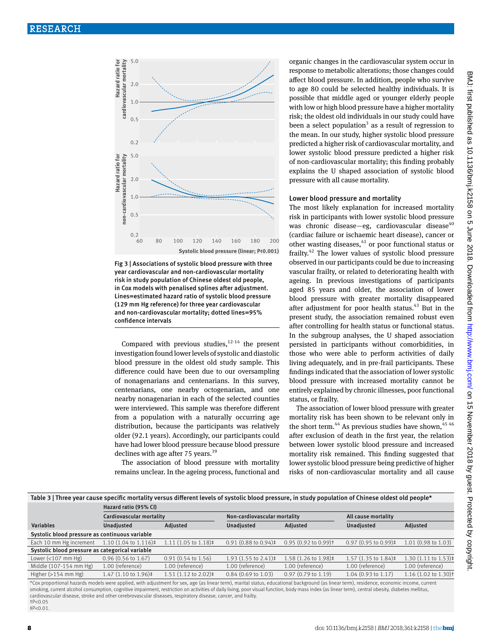

Fig 3 | Associations of systolic blood pressure with three year cardiovascular and non-cardiovascular mortality risk in study population of Chinese oldest old people, in Cox models with penalised splines after adjustment. Lines=estimated hazard ratio of systolic blood pressure (129 mm Hg reference) for three year cardiovascular and non-cardiovascular mortality; dotted lines=95% confidence intervals

Compared with previous studies,  $12-14$  the present investigation found lower levels of systolic and diastolic blood pressure in the oldest old study sample. This difference could have been due to our oversampling of nonagenarians and centenarians. In this survey, centenarians, one nearby octogenarian, and one nearby nonagenarian in each of the selected counties were interviewed. This sample was therefore different from a population with a naturally occurring age distribution, because the participants was relatively older (92.1 years). Accordingly, our participants could have had lower blood pressure because blood pressure declines with age after 75 years.<sup>39</sup>

The association of blood pressure with mortality remains unclear. In the ageing process, functional and organic changes in the cardiovascular system occur in response to metabolic alterations; those changes could affect blood pressure. In addition, people who survive to age 80 could be selected healthy individuals. It is possible that middle aged or younger elderly people with low or high blood pressure have a higher mortality risk; the oldest old individuals in our study could have been a select population<sup>3</sup> as a result of regression to the mean. In our study, higher systolic blood pressure predicted a higher risk of cardiovascular mortality, and lower systolic blood pressure predicted a higher risk of non-cardiovascular mortality; this finding probably explains the U shaped association of systolic blood pressure with all cause mortality.

## Lower blood pressure and mortality

The most likely explanation for increased mortality risk in participants with lower systolic blood pressure was chronic disease-eg, cardiovascular disease $40$ (cardiac failure or ischaemic heart disease), cancer or other wasting diseases,<sup>41</sup> or poor functional status or frailty. $42$  The lower values of systolic blood pressure observed in our participants could be due to increasing vascular frailty, or related to deteriorating health with ageing. In previous investigations of participants aged 85 years and older, the association of lower blood pressure with greater mortality disappeared after adjustment for poor health status. $43$  But in the present study, the association remained robust even after controlling for health status or functional status. In the subgroup analyses, the U shaped association persisted in participants without comorbidities, in those who were able to perform activities of daily living adequately, and in pre-frail participants. These findings indicated that the association of lower systolic blood pressure with increased mortality cannot be entirely explained by chronic illnesses, poor functional status, or frailty.

The association of lower blood pressure with greater mortality risk has been shown to be relevant only in the short term. $44$  As previous studies have shown,  $45\,46$ after exclusion of death in the first year, the relation between lower systolic blood pressure and increased mortality risk remained. This finding suggested that lower systolic blood pressure being predictive of higher risks of non-cardiovascular mortality and all cause

| Table 3   Three year cause specific mortality versus different levels of systolic blood pressure, in study population of Chinese oldest old people* |                                             |                                            |                                  |                                  |                        |                                             |  |
|-----------------------------------------------------------------------------------------------------------------------------------------------------|---------------------------------------------|--------------------------------------------|----------------------------------|----------------------------------|------------------------|---------------------------------------------|--|
|                                                                                                                                                     | Hazard ratio (95% CI)                       |                                            |                                  |                                  |                        |                                             |  |
|                                                                                                                                                     | Cardiovascular mortality                    |                                            | Non-cardiovascular mortality     |                                  | All cause mortality    |                                             |  |
| <b>Variables</b>                                                                                                                                    | Unadjusted                                  | Adjusted                                   | Unadjusted                       | Adjusted                         | Unadjusted             | Adjusted                                    |  |
| Systolic blood pressure as continuous variable                                                                                                      |                                             |                                            |                                  |                                  |                        |                                             |  |
| Each 10 mm Hg increment                                                                                                                             | $1.10(1.04 \text{ to } 1.116)$ <sup>‡</sup> | $1.11(1.05 \text{ to } 1.18)$ <sup>‡</sup> | $0.91$ (0.88 to 0.94) $\ddagger$ | 0.95 (0.92 to 0.99) <sup>†</sup> | $0.97$ (0.95 to 0.99)‡ | $1.01$ (0.98 to 1.03)                       |  |
| Systolic blood pressure as categorical variable                                                                                                     |                                             |                                            |                                  |                                  |                        |                                             |  |
| Lower $(<$ 107 mm Hg)                                                                                                                               | $0.96$ (0.56 to 1.67)                       | $0.91(0.54 \text{ to } 1.56)$              | $1.93$ (1.55 to 2.41)‡           | 1.58 (1.26 to 1.98)‡             | $1.57$ (1.35 to 1.84)‡ | $1.30(1.11$ to $1.53)$                      |  |
| Middle (107-154 mm Hg)                                                                                                                              | 1.00 (reference)                            | 1.00 (reference)                           | 1.00 (reference)                 | 1.00 (reference)                 | 1.00 (reference)       | 1.00 (reference)                            |  |
| Higher $(>154$ mm Hg)                                                                                                                               | $1.47$ (1.10 to 1.96)‡                      | $1.51$ (1.12 to 2.02)‡                     | $0.84$ (0.69 to 1.03)            | $0.97$ (0.79 to 1.19)            | 1.04 (0.93 to 1.17)    | 1.16 $(1.02 \text{ to } 1.30)$ <sup>+</sup> |  |

\*Cox proportional hazards models were applied, with adjustment for sex, age (as linear term), marital status, educational background (as linear term), residence, economic income, current smoking, current alcohol consumption, cognitive impairment, restriction on activities of daily living, poor visual function, body mass index (as linear term), central obesity, diabetes mellitus cardiovascular disease, stroke and other cerebrovascular diseases, respiratory disease, cancer, and frailty. †P<0.05 ‡P<0.01.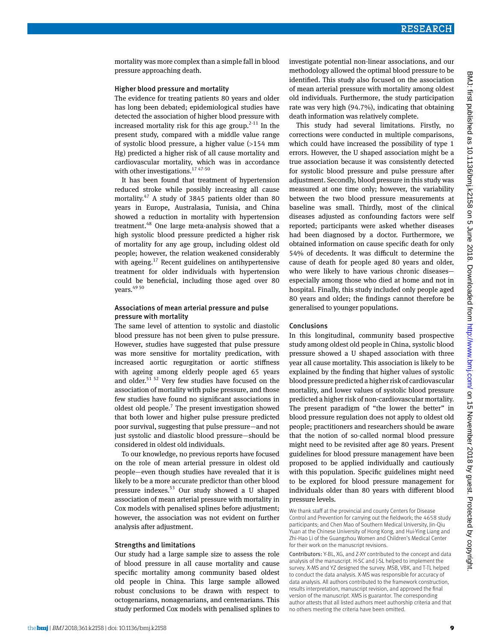mortality was more complex than a simple fall in blood pressure approaching death.

#### Higher blood pressure and mortality

The evidence for treating patients 80 years and older has long been debated; epidemiological studies have detected the association of higher blood pressure with increased mortality risk for this age group.<sup>2-11</sup> In the present study, compared with a middle value range of systolic blood pressure, a higher value (>154 mm Hg) predicted a higher risk of all cause mortality and cardiovascular mortality, which was in accordance with other investigations.<sup>1747-50</sup>

It has been found that treatment of hypertension reduced stroke while possibly increasing all cause mortality.<sup>47</sup> A study of 3845 patients older than 80 years in Europe, Australasia, Tunisia, and China showed a reduction in mortality with hypertension treatment.<sup>48</sup> One large meta-analysis showed that a high systolic blood pressure predicted a higher risk of mortality for any age group, including oldest old people; however, the relation weakened considerably with ageing.<sup>17</sup> Recent guidelines on antihypertensive treatment for older individuals with hypertension could be beneficial, including those aged over 80 vears.<sup>49 50</sup>

## Associations of mean arterial pressure and pulse pressure with mortality

The same level of attention to systolic and diastolic blood pressure has not been given to pulse pressure. However, studies have suggested that pulse pressure was more sensitive for mortality predication, with increased aortic regurgitation or aortic stiffness with ageing among elderly people aged 65 years and older.51 52 Very few studies have focused on the association of mortality with pulse pressure, and those few studies have found no significant associations in oldest old people. $<sup>7</sup>$  The present investigation showed</sup> that both lower and higher pulse pressure predicted poor survival, suggesting that pulse pressure—and not just systolic and diastolic blood pressure—should be considered in oldest old individuals.

To our knowledge, no previous reports have focused on the role of mean arterial pressure in oldest old people—even though studies have revealed that it is likely to be a more accurate predictor than other blood pressure indexes.53 Our study showed a U shaped association of mean arterial pressure with mortality in Cox models with penalised splines before adjustment; however, the association was not evident on further analysis after adjustment.

## Strengths and limitations

Our study had a large sample size to assess the role of blood pressure in all cause mortality and cause specific mortality among community based oldest old people in China. This large sample allowed robust conclusions to be drawn with respect to octogenarians, nonagenarians, and centenarians. This study performed Cox models with penalised splines to

investigate potential non-linear associations, and our methodology allowed the optimal blood pressure to be identified. This study also focused on the association of mean arterial pressure with mortality among oldest old individuals. Furthermore, the study participation rate was very high (94.7%), indicating that obtaining death information was relatively complete.

This study had several limitations. Firstly, no corrections were conducted in multiple comparisons, which could have increased the possibility of type 1 errors. However, the U shaped association might be a true association because it was consistently detected for systolic blood pressure and pulse pressure after adjustment. Secondly, blood pressure in this study was measured at one time only; however, the variability between the two blood pressure measurements at baseline was small. Thirdly, most of the clinical diseases adjusted as confounding factors were self reported; participants were asked whether diseases had been diagnosed by a doctor. Furthermore, we obtained information on cause specific death for only 54% of decedents. It was difficult to determine the cause of death for people aged 80 years and older, who were likely to have various chronic diseases especially among those who died at home and not in hospital. Finally, this study included only people aged 80 years and older; the findings cannot therefore be generalised to younger populations.

#### Conclusions

In this longitudinal, community based prospective study among oldest old people in China, systolic blood pressure showed a U shaped association with three year all cause mortality. This association is likely to be explained by the finding that higher values of systolic blood pressure predicted a higher risk of cardiovascular mortality, and lower values of systolic blood pressure predicted a higher risk of non-cardiovascular mortality. The present paradigm of "the lower the better" in blood pressure regulation does not apply to oldest old people; practitioners and researchers should be aware that the notion of so-called normal blood pressure might need to be revisited after age 80 years. Present guidelines for blood pressure management have been proposed to be applied individually and cautiously with this population. Specific guidelines might need to be explored for blood pressure management for individuals older than 80 years with different blood pressure levels.

We thank staff at the provincial and county Centers for Disease Control and Prevention for carrying out the fieldwork; the 4658 study participants; and Chen Mao of Southern Medical University, Jin-Qiu Yuan at the Chinese University of Hong Kong, and Hui-Ying Liang and Zhi-Hao Li of the Guangzhou Women and Children's Medical Center for their work on the manuscript revisions.

Contributors: Y-BL, XG, and Z-XY contributed to the concept and data analysis of the manuscript. H-SC and J-SL helped to implement the survey. X-MS and YZ designed the survey. MSB, VBK, and T-TL helped to conduct the data analysis. X-MS was responsible for accuracy of data analysis. All authors contributed to the framework construction, results interpretation, manuscript revision, and approved the final version of the manuscript. XMS is guarantor. The corresponding author attests that all listed authors meet authorship criteria and that no others meeting the criteria have been omitted.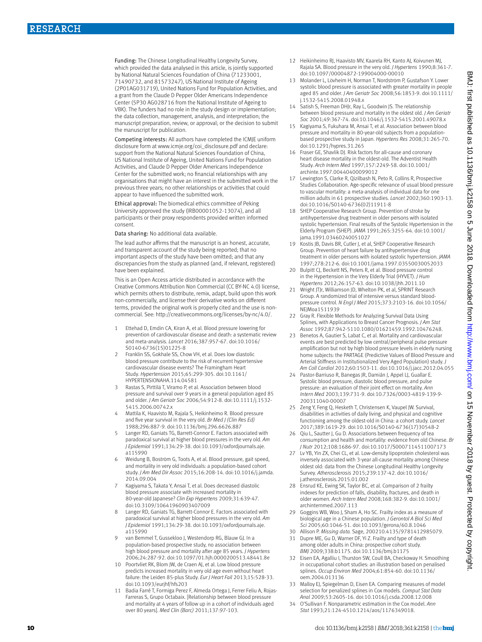Funding: The Chinese Longitudinal Healthy Longevity Survey, which provided the data analysed in this article, is jointly supported by National Natural Sciences Foundation of China (71233001, 71490732, and 81573247), US National Institute of Ageing (2P01AG031719), United Nations Fund for Population Activities, and a grant from the Claude D Pepper Older Americans Independence Center (5P30 AG028716 from the National Institute of Ageing to VBK). The funders had no role in the study design or implementation; the data collection, management, analysis, and interpretation; the manuscript preparation, review, or approval; or the decision to submit the manuscript for publication.

Competing interests: All authors have completed the ICMJE uniform disclosure form at www.icmie.org/coi\_disclosure.pdf and declaresupport from the National Natural Sciences Foundation of China, US National Institute of Ageing, United Nations Fund for Population Activities, and Claude D Pepper Older Americans Independence Center for the submitted work; no financial relationships with any organisations that might have an interest in the submitted work in the previous three years; no other relationships or activities that could appear to have influenced the submitted work.

Ethical approval: The biomedical ethics committee of Peking University approved the study (IRB00001052-13074), and all participants or their proxy respondents provided written informed consent.

Data sharing: No additional data available.

The lead author affirms that the manuscript is an honest, accurate, and transparent account of the study being reported; that no important aspects of the study have been omitted; and that any discrepancies from the study as planned (and, if relevant, registered) have been explained.

This is an Open Access article distributed in accordance with the Creative Commons Attribution Non Commercial (CC BY-NC 4.0) license, which permits others to distribute, remix, adapt, build upon this work non-commercially, and license their derivative works on different terms, provided the original work is properly cited and the use is noncommercial. See: [http://creativecommons.org/licenses/by-nc/4.0/.](http://creativecommons.org/licenses/by-nc/4.0/)

- 1 Ettehad D, Emdin CA, Kiran A, et al. Blood pressure lowering for prevention of cardiovascular disease and death: a systematic review and meta-analysis. *Lancet* 2016;387:957-67. doi:10.1016/ S0140-6736(15)01225-8
- 2 Franklin SS, Gokhale SS, Chow VH, et al. Does low diastolic blood pressure contribute to the risk of recurrent hypertensive cardiovascular disease events? The Framingham Heart Study. *Hypertension* 2015;65:299-305. doi:10.1161/ HYPERTENSIONAHA.114.04581
- Rastas S, Pirttilä T, Viramo P, et al. Association between blood pressure and survival over 9 years in a general population aged 85 and older. *J Am Geriatr Soc* 2006;54:912-8. doi:10.1111/j.1532- 5415.2006.00742.x
- 4 Mattila K, Haavisto M, Rajala S, Heikinheimo R. Blood pressure and five year survival in the very old. *Br Med J (Clin Res Ed)* 1988;296:887-9. doi:10.1136/bmj.296.6626.887
- 5 Langer RD, Ganiats TG, Barrett-Connor E. Factors associated with paradoxical survival at higher blood pressures in the very old. *Am J Epidemiol* 1991;134:29-38. doi:10.1093/oxfordjournals.aje. a115990
- 6 Weidung B, Boström G, Toots A, et al. Blood pressure, gait speed, and mortality in very old individuals: a population-based cohort study. *J Am Med Dir Assoc* 2015;16:208-14. doi:10.1016/j.jamda. 2014.09.004
- Kagiyama S, Takata Y, Ansai T, et al. Does decreased diastolic blood pressure associate with increased mortality in 80-year-old Japanese? *Clin Exp Hypertens* 2009;31:639-47. doi:10.3109/10641960903407009
- 8 Langer RD, Ganiats TG, Barrett-Connor E. Factors associated with paradoxical survival at higher blood pressures in the very old. *Am J Epidemiol* 1991;134:29-38. doi:10.1093/oxfordjournals.aje. a115990
- 9 van Bemmel T, Gussekloo J, Westendorp RG, Blauw GJ. In a population-based prospective study, no association between high blood pressure and mortality after age 85 years. *J Hypertens* 2006;24:287-92. doi:10.1097/01.hjh.0000200513.48441.8e
- 10 Poortvliet RK, Blom JW, de Craen AJ, et al. Low blood pressure predicts increased mortality in very old age even without heart failure: the Leiden 85-plus Study. *Eur J Heart Fail* 2013;15:528-33. doi:10.1093/eurjhf/hfs203
- 11 Badia Farré T, Formiga Perez F, Almeda Ortega J, Ferrer Feliu A, Rojas-Farreras S, Grupo Octabaix. [Relationship between blood pressure and mortality at 4 years of follow up in a cohort of individuals aged over 80 years]. *Med Clin (Barc)* 2011;137:97-103.
- 12 Heikinheimo RJ, Haavisto MV, Kaarela RH, Kanto AJ, Koivunen MJ, Rajala SA. Blood pressure in the very old. *J Hypertens* 1990;8:361-7. doi:10.1097/00004872-199004000-00010
- 13 Molander L, Lövheim H, Norman T, Nordström P, Gustafson Y. Lower systolic blood pressure is associated with greater mortality in people aged 85 and older. *J Am Geriatr Soc* 2008;56:1853-9. doi:10.1111/ j.1532-5415.2008.01948.x
- 14 Satish S, Freeman DHJr, Ray L, Goodwin JS. The relationship between blood pressure and mortality in the oldest old. *J Am Geriatr Soc* 2001;49:367-74. doi:10.1046/j.1532-5415.2001.49078.x
- 15 Kagiyama S, Fukuhara M, Ansai T, et al. Association between blood pressure and mortality in 80-year-old subjects from a populationbased prospective study in Japan. *Hypertens Res* 2008;31:265-70. doi:10.1291/hypres.31.265
- 16 Fraser GE, Shavlik DJ. Risk factors for all-cause and coronary heart disease mortality in the oldest-old. The Adventist Health Study. *Arch Intern Med* 1997;157:2249-58. doi:10.1001/ archinte.1997.00440400099012
- 17 Lewington S, Clarke R, Qizilbash N, Peto R, Collins R, Prospective Studies Collaboration. Age-specific relevance of usual blood pressure to vascular mortality: a meta-analysis of individual data for one million adults in 61 prospective studies. *Lancet* 2002;360:1903-13. doi:10.1016/S0140-6736(02)11911-8
- 18 SHEP Cooperative Research Group. Prevention of stroke by antihypertensive drug treatment in older persons with isolated systolic hypertension. Final results of the Systolic Hypertension in the Elderly Program (SHEP). *JAMA* 1991;265:3255-64. doi:10.1001/ jama.1991.03460240051027
- 19 Kostis JB, Davis BR, Cutler J, et al, SHEP Cooperative Research Group. Prevention of heart failure by antihypertensive drug treatment in older persons with isolated systolic hypertension. *JAMA* 1997;278:212-6. doi:10.1001/jama.1997.03550030052033
- 20 Bulpitt CJ, Beckett NS, Peters R, et al. Blood pressure control in the Hypertension in the Very Elderly Trial (HYVET). *J Hum Hypertens* 2012;26:157-63. doi:10.1038/jhh.2011.10
- 21 Wright JTJr, Williamson JD, Whelton PK, et al, SPRINT Research Group. A randomized trial of intensive versus standard bloodpressure control. *N Engl J Med* 2015;373:2103-16. doi:10.1056/ NEJMoa1511939
- 22 Gray R. Flexible Methods for Analyzing Survival Data Using Splines, with Applications to Breast Cancer Prognosis. *J Am Stat Assoc* 1992;87:942-5110.1080/01621459.1992.10476248.
- 23 Benetos A, Gautier S, Labat C, et al. Mortality and cardiovascular events are best predicted by low central/peripheral pulse pressure amplification but not by high blood pressure levels in elderly nursing home subjects: the PARTAGE (Predictive Values of Blood Pressure and Arterial Stiffness in Institutionalized Very Aged Population) study. *J Am Coll Cardiol* 2012;60:1503-11. doi:10.1016/j.jacc.2012.04.055
- 24 Pastor-Barriuso R, Banegas JR, Damián J, Appel LJ, Guallar E. Systolic blood pressure, diastolic blood pressure, and pulse pressure: an evaluation of their joint effect on mortality. *Ann Intern Med* 2003;139:731-9. doi:10.7326/0003-4819-139-9- 200311040-00007
- 25 Zeng Y, Feng Q, Hesketh T, Christensen K, Vaupel JW. Survival, disabilities in activities of daily living, and physical and cognitive functioning among the oldest-old in China: a cohort study. *Lancet* 2017;389:1619-29. doi:10.1016/S0140-6736(17)30548-2
- 26 Qiu L, Sautter J, Gu D. Associations between frequency of tea consumption and health and mortality: evidence from old Chinese. *Br J Nutr* 2012;108:1686-97. doi:10.1017/S0007114511007173
- 27 Lv YB, Yin ZX, Chei CL, et al. Low-density lipoprotein cholesterol was inversely associated with 3-year all-cause mortality among Chinese oldest old: data from the Chinese Longitudinal Healthy Longevity Survey. *Atherosclerosis* 2015;239:137-42. doi:10.1016/ j.atherosclerosis.2015.01.002
- 28 Ensrud KE, Ewing SK, Taylor BC, et al. Comparison of 2 frailty indexes for prediction of falls, disability, fractures, and death in older women. *Arch Intern Med* 2008;168:382-9. doi:10.1001/ archinternmed.2007.113
- 29 Goggins WB, Woo J, Sham A, Ho SC. Frailty index as a measure of biological age in a Chinese population. *J Gerontol A Biol Sci Med Sci* 2005;60:1046-51. doi:10.1093/gerona/60.8.1046
- 30 Allison P. *Missing data.* Sage, 200210.4135/9781412985079. 31 Dupre ME, Gu D, Warner DF, Yi Z. Frailty and type of death among older adults in China: prospective cohort study. *BMJ* 2009;338:b1175. doi:10.1136/bmj.b1175
- 32 Eisen EA, Agalliu I, Thurston SW, Coull BA, Checkoway H. Smoothing in occupational cohort studies: an illustration based on penalised splines. *Occup Environ Med* 2004;61:854-60. doi:10.1136/ oem.2004.013136
- 33 Malloy EJ, Spiegelman D, Eisen EA. Comparing measures of model selection for penalized splines in Cox models. *Comput Stat Data Anal* 2009;53:2605-16. doi:10.1016/j.csda.2008.12.008
- 34 O'Sullivan F. Nonparametric estimation in the Cox model. *Ann Stat* 1993;21:124-4510.1214/aos/1176349018.